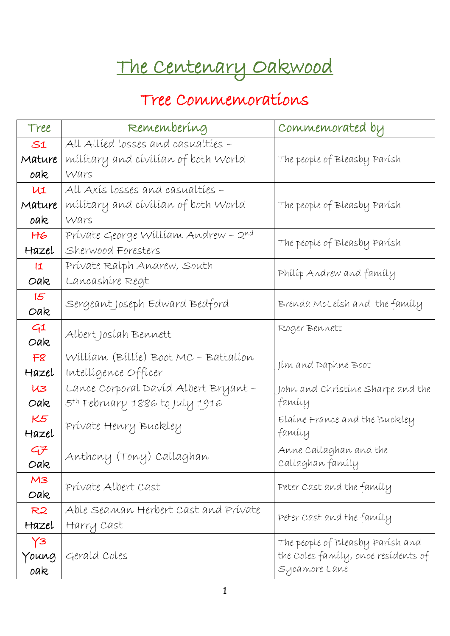## The Centenary Oakwood

## Tree Commemorations

| Tree   | Remembering                                | Commemorated by                     |
|--------|--------------------------------------------|-------------------------------------|
| S1     | All Allied losses and casualties -         |                                     |
| Mature | mílítary and cívílían of both World        | The people of Bleasby Parish        |
| oak    | Wars                                       |                                     |
| U1     | All Axís losses and casualties -           |                                     |
| Mature | mílítary and cívílían of both World        | The people of Bleasby Parísh        |
| oak    | Wars                                       |                                     |
| H6     | Prívate George William Andrew - 2nd        |                                     |
| Hazel  | Sherwood Foresters                         | The people of Bleasby Parísh        |
| 11     | Prívate Ralph Andrew, South                |                                     |
| Oak    | Lancashíre Regt                            | Philip Andrew and family            |
| 15     |                                            | Brenda McLeish and the family       |
| Oak    | Sergeant Joseph Edward Bedford             |                                     |
| $-41$  | Albert Josíah Bennett                      | Roger Bennett                       |
| Oak    |                                            |                                     |
| F8     | William (Billie) Boot MC - Battalion       | Jím and Daphne Boot                 |
| Hazel  | Intellígence Officer                       |                                     |
| U3     | Lance Corporal Davíd Albert Bryant -       | John and Christine Sharpe and the   |
| Oak    | 5 <sup>th</sup> February 1886 to July 1916 | family                              |
| K5     | Private Henry Buckley                      | Elaine France and the Buckley       |
| Hazel  |                                            | famíly                              |
| 77     | Anthony (Tony) Callaghan                   | Anne Callaghan and the              |
| Oak    |                                            | Callaghan family                    |
| M3     | Private Albert Cast                        | Peter Cast and the family           |
| Oak    |                                            |                                     |
| R2     | Able Seaman Herbert Cast and Private       | Peter Cast and the family           |
| Hazel  | Harry Cast                                 |                                     |
| $Y^3$  |                                            | The people of Bleasby Parísh and    |
| Young  | Gerald Coles                               | the Coles family, once residents of |
| oak    |                                            | Sycamore Lane                       |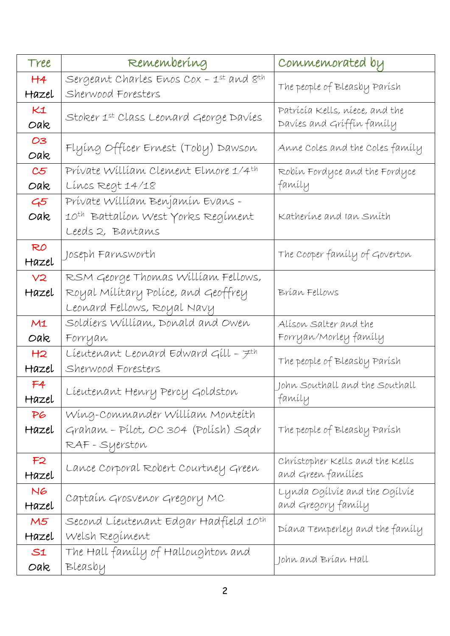| Tree  | Remembering                                         | Commemorated by                 |
|-------|-----------------------------------------------------|---------------------------------|
| H4    | Sergeant Charles Enos $Cox - 1$ st and $8th$        |                                 |
| Hazel | Sherwood Foresters                                  | The people of Bleasby Parish    |
| K1    | Stoker 1st Class Leonard George Davies              | Patrícía Kells, níece, and the  |
| Oak   |                                                     | Davies and Griffin family       |
| 03    | Flying Officer Ernest (Toby) Dawson                 | Anne Coles and the Coles family |
| Oak.  |                                                     |                                 |
| C5    | Prívate William Clement Elmore 1/4th                | Robín Fordyce and the Fordyce   |
| Oak   | Líncs Regt 14/18                                    | family                          |
| $-45$ | Prívate William Benjamin Evans -                    |                                 |
| Oak   | 10th Battalion West Yorks Regiment                  | Katherine and Ian Smith         |
|       | Leeds 2, Bantams                                    |                                 |
| RO    | Joseph Farnsworth                                   | The Cooper family of Goverton   |
| Hazel |                                                     |                                 |
| V2    | RSM George Thomas William Fellows,                  |                                 |
| Hazel | Royal Military Police, and Geoffrey                 | Brían Fellows                   |
|       | Leonard Fellows, Royal Navy                         |                                 |
| M1    | Soldíers Willíam, Donald and Owen                   | Alíson Salter and the           |
| Oak   | Forryan                                             | Forryan/Morley family           |
| H2    | Lieutenant Leonard Edward Gill - $\neq^{\text{th}}$ |                                 |
| Hazel | Sherwood Foresters                                  | The people of Bleasby Parish    |
| F4    |                                                     | John Southall and the Southall  |
| Hazel | Lieutenant Henry Percy Goldston                     | famíly                          |
| P6    | Wing-Commander William Monteith                     |                                 |
| Hazel | Graham - Pílot, OC 304 (Polísh) Sqdr                | The people of Bleasby Parísh    |
|       | RAF - Syerston                                      |                                 |
| F2    |                                                     | Christopher Kells and the Kells |
| Hazel | Lance Corporal Robert Courtney Green                | and Green families              |
| N6    |                                                     | Lynda Ogílvíe and the Ogílvíe   |
| Hazel | Captaín Grosvenor Gregory MC                        | and Gregory family              |
| M5    | Second Lieutenant Edgar Hadfield 10th               | Díana Temperley and the family  |
| Hazel | Welsh Regiment                                      |                                 |
| S1    | The Hall family of Halloughton and                  | John and Brían Hall             |
| Oak   | Bleasby                                             |                                 |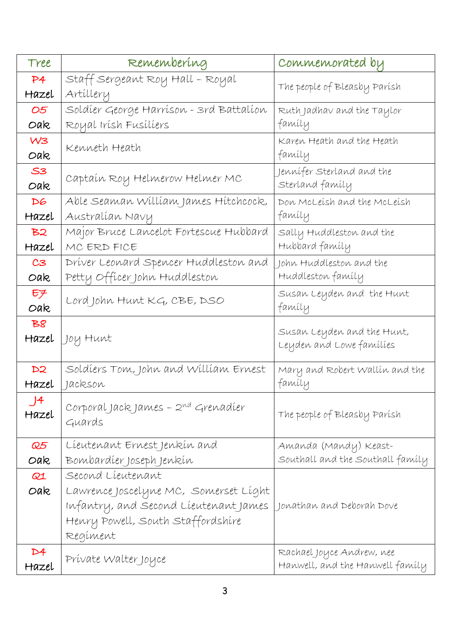| Tree           | Remembering                             | Commemorated by                  |
|----------------|-----------------------------------------|----------------------------------|
| P4             | Staff Sergeant Roy Hall - Royal         | The people of Bleasby Parísh     |
| Hazel          | Artillery                               |                                  |
| 05             | Soldíer George Harríson - 3rd Battalíon | Ruth Jadhav and the Taylor       |
| Oak            | Royal Irísh Fusílíers                   | famíly                           |
| W <sub>3</sub> | Kenneth Heath                           | Karen Heath and the Heath        |
| Oak            |                                         | family                           |
| S <sub>3</sub> | Captain Roy Helmerow Helmer MC          | Jennifer Sterland and the        |
| Oak            |                                         | Sterland family                  |
| D6             | Able Seaman William James Hitchcock,    | Don McLeish and the McLeish      |
| Hazel          | Australían Navy                         | famíly                           |
| B2             | Major Bruce Lancelot Fortescue Hubbard  | Sally Huddleston and the         |
| Hazel          | MC ERD FICE                             | Hubbard family                   |
| C3             | Driver Leonard Spencer Huddleston and   | John Huddleston and the          |
| Oak            | Petty Officer John Huddleston           | Huddleston family                |
| $E\neq$        | Lord John Hunt KG, CBE, DSO             | Susan Leyden and the Hunt        |
| Oak            |                                         | family                           |
| <b>B8</b>      |                                         | Susan Leyden and the Hunt,       |
| Hazel          | Joy Hunt                                | Leyden and Lowe families         |
|                |                                         |                                  |
| D <sub>2</sub> | Soldíers Tom, John and William Ernest   | Mary and Robert Wallin and the   |
| Hazel          | Jackson                                 | family                           |
| J <sup>4</sup> | Corporal Jack James - 2nd Grenadier     |                                  |
| Hazel          | Guards                                  | The people of Bleasby Parísh     |
|                |                                         |                                  |
| Q5             | Lieutenant Ernest Jenkin and            | Amanda (Mandy) Keast-            |
| Oak            | Bombardíer Joseph Jenkín                | Southall and the Southall family |
| Q1             | Second Lieutenant                       |                                  |
| Oak            | Lawrence Joscelyne MC, Somerset Light   |                                  |
|                | Infantry, and Second Lieutenant James   | Jonathan and Deborah Dove        |
|                | Henry Powell, South Staffordshire       |                                  |
|                | Regiment                                |                                  |
| D4             | Private Walter Joyce                    | Rachael Joyce Andrew, nee        |
| Hazel          |                                         | Hanwell, and the Hanwell family  |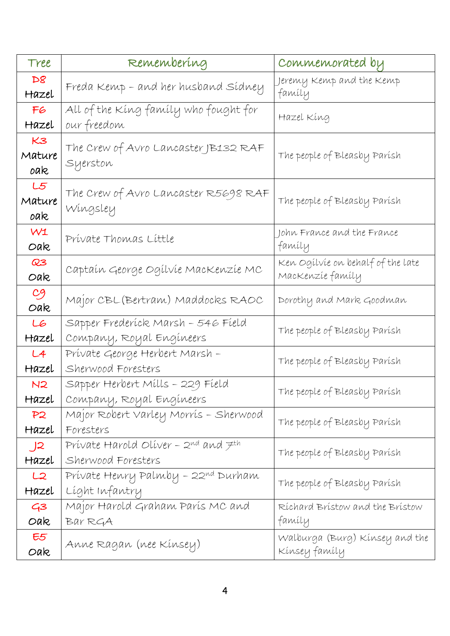| Tree                | Remembering                                                         | Commemorated by                                       |
|---------------------|---------------------------------------------------------------------|-------------------------------------------------------|
| D8<br>Hazel         | Freda Kemp - and her husband Sídney                                 | Jeremy Kemp and the Kemp<br>family                    |
| F6<br>Hazel         | All of the King family who fought for<br>our freedom                | Hazel King                                            |
| K3<br>Mature<br>oak | The Crew of Avro Lancaster JB132 RAF<br>Syerston                    | The people of Bleasby Parísh                          |
| L5<br>Mature<br>oak | The Crew of Avro Lancaster R5698 RAF<br>Wingsley                    | The people of Bleasby Parísh                          |
| W1<br>Oak           | Private Thomas Little                                               | John France and the France<br>family                  |
| Q3<br>Oak           | Captain George Ogilvie Mackenzie MC                                 | Ken Ogilvie on behalf of the late<br>Mackenzie family |
| C9<br>Oak           | Major CBL (Bertram) Maddocks RAOC                                   | Dorothy and Mark Goodman                              |
| LG<br>Hazel         | Sapper Frederíck Marsh - 546 Fíeld<br>Company, Royal Engineers      | The people of Bleasby Parish                          |
| L4<br>Hazel         | Private George Herbert Marsh -<br>Sherwood Foresters                | The people of Bleasby Parish                          |
| N2<br>Hazel         | Sapper Herbert Mills - 229 Field<br>Company, Royal Engineers        | The people of Bleasby Parísh                          |
| P2<br>Hazel         | Major Robert Varley Morrís - Sherwood<br>Foresters                  | The people of Bleasby Parish                          |
| ၂၁<br>Hazel         | Private Harold Oliver - $2^{nd}$ and $7^{th}$<br>Sherwood Foresters | The people of Bleasby Parísh                          |
| L2<br>Hazel         | Private Henry Palmby - 22nd Durham<br>Líght Infantry                | The people of Bleasby Parísh                          |
| $-43$<br>Oak        | Major Harold Graham París MC and<br>Bar RGA                         | Ríchard Brístow and the Brístow<br>family             |
| E5<br>Oak           | Anne Ragan (nee Kinsey)                                             | Walburga (Burg) Kinsey and the<br>Kínsey famíly       |